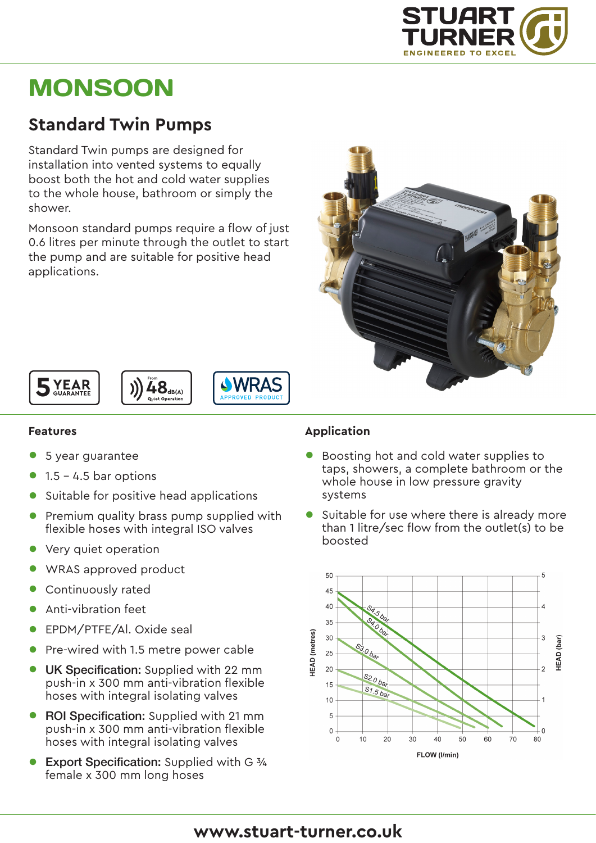

# **MONSOON**

## **Standard Twin Pumps**

Standard Twin pumps are designed for installation into vented systems to equally boost both the hot and cold water supplies to the whole house, bathroom or simply the shower.

Monsoon standard pumps require a flow of just 0.6 litres per minute through the outlet to start the pump and are suitable for positive head applications.







#### **Features**

- 5 year guarantee
- $1.5 4.5$  bar options
- Suitable for positive head applications
- Premium quality brass pump supplied with flexible hoses with integral ISO valves
- Very quiet operation
- WRAS approved product
- Continuously rated
- Anti-vibration feet
- EPDM/PTFE/Al. Oxide seal
- Pre-wired with 1.5 metre power cable
- **UK Specification:** Supplied with 22 mm push-in x 300 mm anti-vibration flexible hoses with integral isolating valves
- ROI Specification: Supplied with 21 mm push-in x 300 mm anti-vibration flexible hoses with integral isolating valves
- Export Specification: Supplied with G 3/4 female x 300 mm long hoses

#### **Application**

- Boosting hot and cold water supplies to taps, showers, a complete bathroom or the whole house in low pressure gravity systems
- Suitable for use where there is already more than 1 litre/sec flow from the outlet(s) to be boosted



### **www.stuart-turner.co.uk**